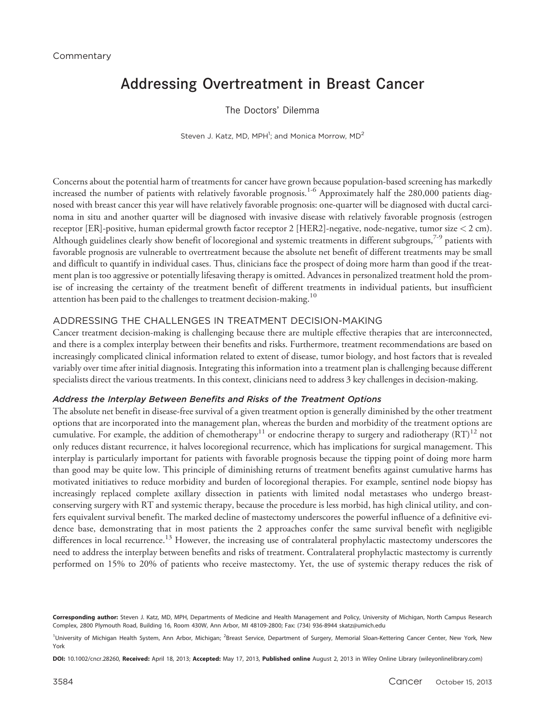# Addressing Overtreatment in Breast Cancer

## The Doctors' Dilemma

Steven J. Katz, MD, MPH<sup>1</sup>; and Monica Morrow, MD<sup>2</sup>

Concerns about the potential harm of treatments for cancer have grown because population-based screening has markedly increased the number of patients with relatively favorable prognosis.<sup>1-6</sup> Approximately half the 280,000 patients diagnosed with breast cancer this year will have relatively favorable prognosis: one-quarter will be diagnosed with ductal carcinoma in situ and another quarter will be diagnosed with invasive disease with relatively favorable prognosis (estrogen receptor [ER]-positive, human epidermal growth factor receptor 2 [HER2]-negative, node-negative, tumor size  $<$  2 cm). Although guidelines clearly show benefit of locoregional and systemic treatments in different subgroups,<sup>7-9</sup> patients with favorable prognosis are vulnerable to overtreatment because the absolute net benefit of different treatments may be small and difficult to quantify in individual cases. Thus, clinicians face the prospect of doing more harm than good if the treatment plan is too aggressive or potentially lifesaving therapy is omitted. Advances in personalized treatment hold the promise of increasing the certainty of the treatment benefit of different treatments in individual patients, but insufficient attention has been paid to the challenges to treatment decision-making.<sup>10</sup>

## ADDRESSING THE CHALLENGES IN TREATMENT DECISION-MAKING

Cancer treatment decision-making is challenging because there are multiple effective therapies that are interconnected, and there is a complex interplay between their benefits and risks. Furthermore, treatment recommendations are based on increasingly complicated clinical information related to extent of disease, tumor biology, and host factors that is revealed variably over time after initial diagnosis. Integrating this information into a treatment plan is challenging because different specialists direct the various treatments. In this context, clinicians need to address 3 key challenges in decision-making.

#### Address the Interplay Between Benefits and Risks of the Treatment Options

The absolute net benefit in disease-free survival of a given treatment option is generally diminished by the other treatment options that are incorporated into the management plan, whereas the burden and morbidity of the treatment options are cumulative. For example, the addition of chemotherapy<sup>11</sup> or endocrine therapy to surgery and radiotherapy  $(RT)^{12}$  not only reduces distant recurrence, it halves locoregional recurrence, which has implications for surgical management. This interplay is particularly important for patients with favorable prognosis because the tipping point of doing more harm than good may be quite low. This principle of diminishing returns of treatment benefits against cumulative harms has motivated initiatives to reduce morbidity and burden of locoregional therapies. For example, sentinel node biopsy has increasingly replaced complete axillary dissection in patients with limited nodal metastases who undergo breastconserving surgery with RT and systemic therapy, because the procedure is less morbid, has high clinical utility, and confers equivalent survival benefit. The marked decline of mastectomy underscores the powerful influence of a definitive evidence base, demonstrating that in most patients the 2 approaches confer the same survival benefit with negligible differences in local recurrence.<sup>13</sup> However, the increasing use of contralateral prophylactic mastectomy underscores the need to address the interplay between benefits and risks of treatment. Contralateral prophylactic mastectomy is currently performed on 15% to 20% of patients who receive mastectomy. Yet, the use of systemic therapy reduces the risk of

Corresponding author: Steven J. Katz, MD, MPH, Departments of Medicine and Health Management and Policy, University of Michigan, North Campus Research Complex, 2800 Plymouth Road, Building 16, Room 430W, Ann Arbor, MI 48109-2800; Fax: (734) 936-8944 skatz@umich.edu

<sup>&</sup>lt;sup>1</sup>University of Michigan Health System, Ann Arbor, Michigan; <sup>2</sup>Breast Service, Department of Surgery, Memorial Sloan-Kettering Cancer Center, New York, New York

DOI: 10.1002/cncr.28260, Received: April 18, 2013; Accepted: May 17, 2013, Published online August 2, 2013 in Wiley Online Library (wileyonlinelibrary.com)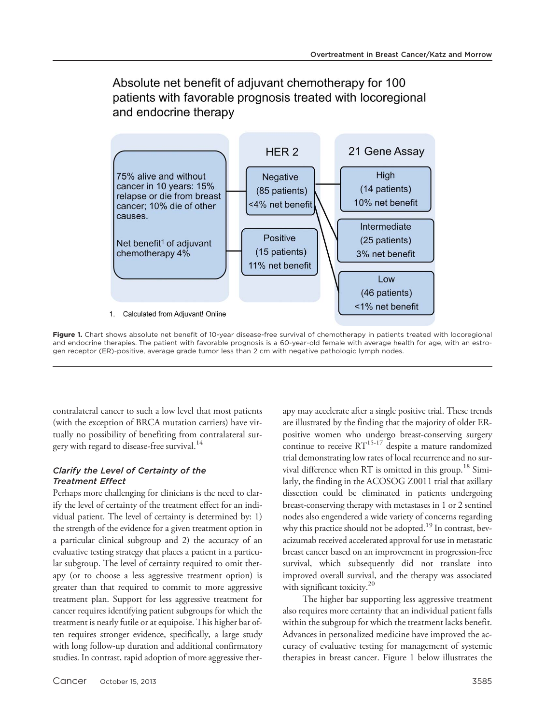Absolute net benefit of adjuvant chemotherapy for 100 patients with favorable prognosis treated with locoregional and endocrine therapy



Figure 1. Chart shows absolute net benefit of 10-year disease-free survival of chemotherapy in patients treated with locoregional and endocrine therapies. The patient with favorable prognosis is a 60-year-old female with average health for age, with an estrogen receptor (ER)-positive, average grade tumor less than 2 cm with negative pathologic lymph nodes.

contralateral cancer to such a low level that most patients (with the exception of BRCA mutation carriers) have virtually no possibility of benefiting from contralateral surgery with regard to disease-free survival.<sup>14</sup>

## Clarify the Level of Certainty of the Treatment Effect

Perhaps more challenging for clinicians is the need to clarify the level of certainty of the treatment effect for an individual patient. The level of certainty is determined by: 1) the strength of the evidence for a given treatment option in a particular clinical subgroup and 2) the accuracy of an evaluative testing strategy that places a patient in a particular subgroup. The level of certainty required to omit therapy (or to choose a less aggressive treatment option) is greater than that required to commit to more aggressive treatment plan. Support for less aggressive treatment for cancer requires identifying patient subgroups for which the treatment is nearly futile or at equipoise. This higher bar often requires stronger evidence, specifically, a large study with long follow-up duration and additional confirmatory studies. In contrast, rapid adoption of more aggressive therapy may accelerate after a single positive trial. These trends are illustrated by the finding that the majority of older ERpositive women who undergo breast-conserving surgery continue to receive  $RT^{15-17}$  despite a mature randomized trial demonstrating low rates of local recurrence and no survival difference when RT is omitted in this group.<sup>18</sup> Similarly, the finding in the ACOSOG Z0011 trial that axillary dissection could be eliminated in patients undergoing breast-conserving therapy with metastases in 1 or 2 sentinel nodes also engendered a wide variety of concerns regarding why this practice should not be adopted.<sup>19</sup> In contrast, bevacizumab received accelerated approval for use in metastatic breast cancer based on an improvement in progression-free survival, which subsequently did not translate into improved overall survival, and the therapy was associated with significant toxicity.<sup>20</sup>

The higher bar supporting less aggressive treatment also requires more certainty that an individual patient falls within the subgroup for which the treatment lacks benefit. Advances in personalized medicine have improved the accuracy of evaluative testing for management of systemic therapies in breast cancer. Figure 1 below illustrates the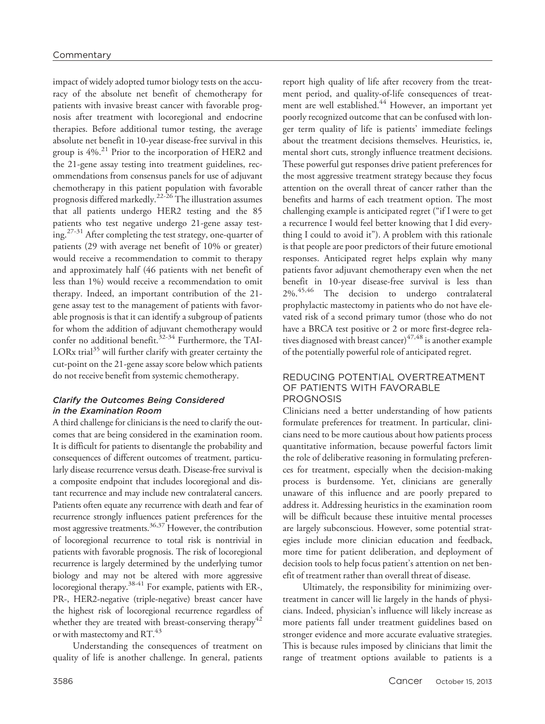impact of widely adopted tumor biology tests on the accuracy of the absolute net benefit of chemotherapy for patients with invasive breast cancer with favorable prognosis after treatment with locoregional and endocrine therapies. Before additional tumor testing, the average absolute net benefit in 10-year disease-free survival in this group is  $4\%$ .<sup>21</sup> Prior to the incorporation of HER2 and the 21-gene assay testing into treatment guidelines, recommendations from consensus panels for use of adjuvant chemotherapy in this patient population with favorable prognosis differed markedly.22-26 The illustration assumes that all patients undergo HER2 testing and the 85 patients who test negative undergo 21-gene assay testing.<sup>27-31</sup> After completing the test strategy, one-quarter of patients (29 with average net benefit of 10% or greater) would receive a recommendation to commit to therapy and approximately half (46 patients with net benefit of less than 1%) would receive a recommendation to omit therapy. Indeed, an important contribution of the 21 gene assay test to the management of patients with favorable prognosis is that it can identify a subgroup of patients for whom the addition of adjuvant chemotherapy would confer no additional benefit.<sup>32-34</sup> Furthermore, the TAI-LORx trial $35$  will further clarify with greater certainty the cut-point on the 21-gene assay score below which patients do not receive benefit from systemic chemotherapy.

## Clarify the Outcomes Being Considered in the Examination Room

A third challenge for clinicians is the need to clarify the outcomes that are being considered in the examination room. It is difficult for patients to disentangle the probability and consequences of different outcomes of treatment, particularly disease recurrence versus death. Disease-free survival is a composite endpoint that includes locoregional and distant recurrence and may include new contralateral cancers. Patients often equate any recurrence with death and fear of recurrence strongly influences patient preferences for the most aggressive treatments.36,37 However, the contribution of locoregional recurrence to total risk is nontrivial in patients with favorable prognosis. The risk of locoregional recurrence is largely determined by the underlying tumor biology and may not be altered with more aggressive locoregional therapy.<sup>38-41</sup> For example, patients with ER-, PR-, HER2-negative (triple-negative) breast cancer have the highest risk of locoregional recurrence regardless of whether they are treated with breast-conserving therapy<sup>42</sup> or with mastectomy and RT.<sup>43</sup>

Understanding the consequences of treatment on quality of life is another challenge. In general, patients report high quality of life after recovery from the treatment period, and quality-of-life consequences of treatment are well established.<sup>44</sup> However, an important yet poorly recognized outcome that can be confused with longer term quality of life is patients' immediate feelings about the treatment decisions themselves. Heuristics, ie, mental short cuts, strongly influence treatment decisions. These powerful gut responses drive patient preferences for the most aggressive treatment strategy because they focus attention on the overall threat of cancer rather than the benefits and harms of each treatment option. The most challenging example is anticipated regret ("if I were to get a recurrence I would feel better knowing that I did everything I could to avoid it"). A problem with this rationale is that people are poor predictors of their future emotional responses. Anticipated regret helps explain why many patients favor adjuvant chemotherapy even when the net benefit in 10-year disease-free survival is less than 2%.45,46 The decision to undergo contralateral prophylactic mastectomy in patients who do not have elevated risk of a second primary tumor (those who do not have a BRCA test positive or 2 or more first-degree relatives diagnosed with breast cancer)<sup>47,48</sup> is another example of the potentially powerful role of anticipated regret.

## REDUCING POTENTIAL OVERTREATMENT OF PATIENTS WITH FAVORABLE PROGNOSIS

Clinicians need a better understanding of how patients formulate preferences for treatment. In particular, clinicians need to be more cautious about how patients process quantitative information, because powerful factors limit the role of deliberative reasoning in formulating preferences for treatment, especially when the decision-making process is burdensome. Yet, clinicians are generally unaware of this influence and are poorly prepared to address it. Addressing heuristics in the examination room will be difficult because these intuitive mental processes are largely subconscious. However, some potential strategies include more clinician education and feedback, more time for patient deliberation, and deployment of decision tools to help focus patient's attention on net benefit of treatment rather than overall threat of disease.

Ultimately, the responsibility for minimizing overtreatment in cancer will lie largely in the hands of physicians. Indeed, physician's influence will likely increase as more patients fall under treatment guidelines based on stronger evidence and more accurate evaluative strategies. This is because rules imposed by clinicians that limit the range of treatment options available to patients is a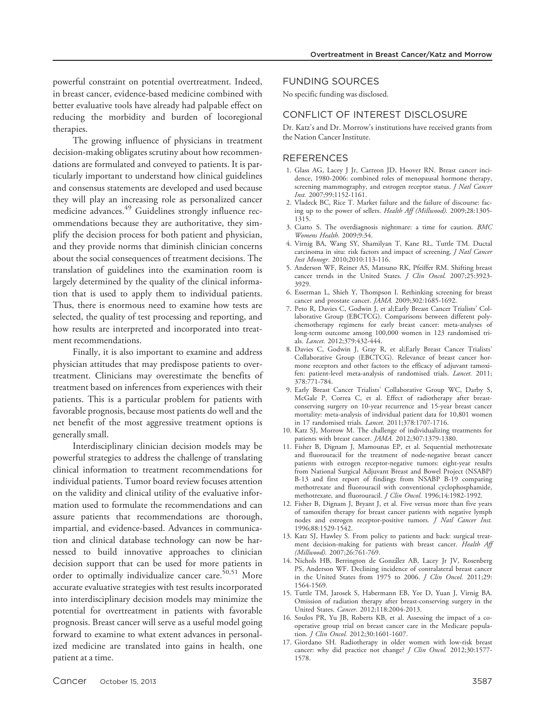powerful constraint on potential overtreatment. Indeed, in breast cancer, evidence-based medicine combined with better evaluative tools have already had palpable effect on reducing the morbidity and burden of locoregional therapies.

The growing influence of physicians in treatment decision-making obligates scrutiny about how recommendations are formulated and conveyed to patients. It is particularly important to understand how clinical guidelines and consensus statements are developed and used because they will play an increasing role as personalized cancer medicine advances.<sup>49</sup> Guidelines strongly influence recommendations because they are authoritative, they simplify the decision process for both patient and physician, and they provide norms that diminish clinician concerns about the social consequences of treatment decisions. The translation of guidelines into the examination room is largely determined by the quality of the clinical information that is used to apply them to individual patients. Thus, there is enormous need to examine how tests are selected, the quality of test processing and reporting, and how results are interpreted and incorporated into treatment recommendations.

Finally, it is also important to examine and address physician attitudes that may predispose patients to overtreatment. Clinicians may overestimate the benefits of treatment based on inferences from experiences with their patients. This is a particular problem for patients with favorable prognosis, because most patients do well and the net benefit of the most aggressive treatment options is generally small.

Interdisciplinary clinician decision models may be powerful strategies to address the challenge of translating clinical information to treatment recommendations for individual patients. Tumor board review focuses attention on the validity and clinical utility of the evaluative information used to formulate the recommendations and can assure patients that recommendations are thorough, impartial, and evidence-based. Advances in communication and clinical database technology can now be harnessed to build innovative approaches to clinician decision support that can be used for more patients in order to optimally individualize cancer care.<sup>50,51</sup> More accurate evaluative strategies with test results incorporated into interdisciplinary decision models may minimize the potential for overtreatment in patients with favorable prognosis. Breast cancer will serve as a useful model going forward to examine to what extent advances in personalized medicine are translated into gains in health, one patient at a time.

### FUNDING SOURCES

No specific funding was disclosed.

### CONFLICT OF INTEREST DISCLOSURE

Dr. Katz's and Dr. Morrow's institutions have received grants from the Nation Cancer Institute.

## REFERENCES

- 1. Glass AG, Lacey J Jr, Carreon JD, Hoover RN. Breast cancer incidence, 1980-2006: combined roles of menopausal hormone therapy, screening mammography, and estrogen receptor status. *J Natl Cancer* Inst. 2007;99:1152-1161.
- 2. Vladeck BC, Rice T. Market failure and the failure of discourse: facing up to the power of sellers. Health Aff (Millwood). 2009;28:1305- 1315.
- 3. Ciatto S. The overdiagnosis nightmare: a time for caution. BMC Womens Health. 2009;9:34.
- 4. Virnig BA, Wang SY, Shamilyan T, Kane RL, Tuttle TM. Ductal carcinoma in situ: risk factors and impact of screening. J Natl Cancer Inst Monogr. 2010;2010:113-116.
- 5. Anderson WF, Reiner AS, Matsuno RK, Pfeiffer RM. Shifting breast cancer trends in the United States. J Clin Oncol. 2007;25:3923-3929.
- 6. Esserman L, Shieh Y, Thompson I. Rethinking screening for breast cancer and prostate cancer. JAMA. 2009;302:1685-1692.
- Peto R, Davies C, Godwin J, et al; Early Breast Cancer Trialists' Collaborative Group (EBCTCG). Comparisons between different polychemotherapy regimens for early breast cancer: meta-analyses of long-term outcome among 100,000 women in 123 randomised trials. Lancet. 2012;379:432-444.
- 8. Davies C, Godwin J, Gray R, et al;Early Breast Cancer Trialists' Collaborative Group (EBCTCG). Relevance of breast cancer hormone receptors and other factors to the efficacy of adjuvant tamoxifen: patient-level meta-analysis of randomised trials. Lancet. 2011; 378:771-784.
- 9. Early Breast Cancer Trialists' Collaborative Group WC, Darby S, McGale P, Correa C, et al. Effect of radiotherapy after breastconserving surgery on 10-year recurrence and 15-year breast cancer mortality: meta-analysis of individual patient data for 10,801 women in 17 randomised trials. Lancet. 2011;378:1707-1716.
- 10. Katz SJ, Morrow M. The challenge of individualizing treatments for patients with breast cancer. JAMA. 2012;307:1379-1380.
- 11. Fisher B, Dignam J, Mamounas EP, et al. Sequential methotrexate and fluorouracil for the treatment of node-negative breast cancer patients with estrogen receptor-negative tumors: eight-year results from National Surgical Adjuvant Breast and Bowel Project (NSABP) B-13 and first report of findings from NSABP B-19 comparing methotrexate and fluorouracil with conventional cyclophosphamide, methotrexate, and fluorouracil. *J Clin Oncol.* 1996;14:1982-1992.
- 12. Fisher B, Dignam J, Bryant J, et al. Five versus more than five years of tamoxifen therapy for breast cancer patients with negative lymph nodes and estrogen receptor-positive tumors. J Natl Cancer Inst. 1996;88:1529-1542.
- 13. Katz SJ, Hawley S. From policy to patients and back: surgical treatment decision-making for patients with breast cancer. Health Aff (Millwood). 2007;26:761-769.
- 14. Nichols HB, Berrington de González AB, Lacey Jr JV, Rosenberg PS, Anderson WF. Declining incidence of contralateral breast cancer in the United States from 1975 to 2006. *J Clin Oncol.* 2011;29: 1564-1569.
- 15. Tuttle TM, Jarosek S, Habermann EB, Yee D, Yuan J, Virnig BA. Omission of radiation therapy after breast-conserving surgery in the United States. Cancer. 2012;118:2004-2013.
- 16. Soulos PR, Yu JB, Roberts KB, et al. Assessing the impact of a cooperative group trial on breast cancer care in the Medicare population. *J Clin Oncol.* 2012;30:1601-1607.
- 17. Giordano SH. Radiotherapy in older women with low-risk breast cancer: why did practice not change? *J Clin Oncol.* 2012;30:1577-1578.